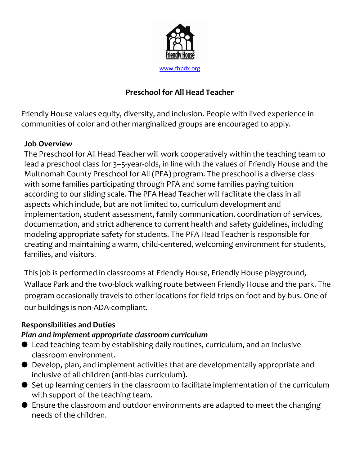

# Preschool for All Head Teacher

Friendly House values equity, diversity, and inclusion. People with lived experience in communities of color and other marginalized groups are encouraged to apply.

#### Job Overview

The Preschool for All Head Teacher will work cooperatively within the teaching team to lead a preschool class for 3–5-year-olds, in line with the values of Friendly House and the Multnomah County Preschool for All (PFA) program. The preschool is a diverse class with some families participating through PFA and some families paying tuition according to our sliding scale. The PFA Head Teacher will facilitate the class in all aspects which include, but are not limited to, curriculum development and implementation, student assessment, family communication, coordination of services, documentation, and strict adherence to current health and safety guidelines, including modeling appropriate safety for students. The PFA Head Teacher is responsible for creating and maintaining a warm, child-centered, welcoming environment for students, families, and visitors.

This job is performed in classrooms at Friendly House, Friendly House playground, Wallace Park and the two-block walking route between Friendly House and the park. The program occasionally travels to other locations for field trips on foot and by bus. One of our buildings is non-ADA-compliant.

### Responsibilities and Duties

### Plan and implement appropriate classroom curriculum

- Lead teaching team by establishing daily routines, curriculum, and an inclusive classroom environment.
- Develop, plan, and implement activities that are developmentally appropriate and inclusive of all children (anti-bias curriculum).
- Set up learning centers in the classroom to facilitate implementation of the curriculum with support of the teaching team.
- Ensure the classroom and outdoor environments are adapted to meet the changing needs of the children.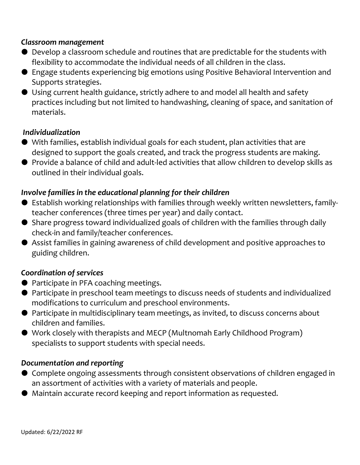#### Classroom management

- Develop a classroom schedule and routines that are predictable for the students with flexibility to accommodate the individual needs of all children in the class.
- Engage students experiencing big emotions using Positive Behavioral Intervention and Supports strategies.
- Using current health guidance, strictly adhere to and model all health and safety practices including but not limited to handwashing, cleaning of space, and sanitation of materials.

#### Individualization

- With families, establish individual goals for each student, plan activities that are designed to support the goals created, and track the progress students are making.
- Provide a balance of child and adult-led activities that allow children to develop skills as outlined in their individual goals.

### Involve families in the educational planning for their children

- Establish working relationships with families through weekly written newsletters, familyteacher conferences (three times per year) and daily contact.
- Share progress toward individualized goals of children with the families through daily check-in and family/teacher conferences.
- Assist families in gaining awareness of child development and positive approaches to guiding children.

### Coordination of services

- Participate in PFA coaching meetings.
- Participate in preschool team meetings to discuss needs of students and individualized modifications to curriculum and preschool environments.
- Participate in multidisciplinary team meetings, as invited, to discuss concerns about children and families.
- Work closely with therapists and MECP (Multnomah Early Childhood Program) specialists to support students with special needs.

#### Documentation and reporting

- Complete ongoing assessments through consistent observations of children engaged in an assortment of activities with a variety of materials and people.
- Maintain accurate record keeping and report information as requested.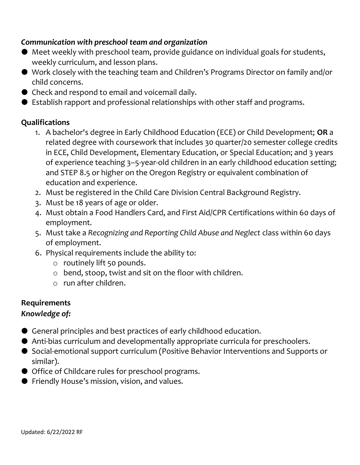## Communication with preschool team and organization

- Meet weekly with preschool team, provide guidance on individual goals for students, weekly curriculum, and lesson plans.
- Work closely with the teaching team and Children's Programs Director on family and/or child concerns.
- Check and respond to email and voicemail daily.
- Establish rapport and professional relationships with other staff and programs.

## Qualifications

- 1. A bachelor's degree in Early Childhood Education (ECE) or Child Development; OR a related degree with coursework that includes 30 quarter/20 semester college credits in ECE, Child Development, Elementary Education, or Special Education; and 3 years of experience teaching 3–5-year-old children in an early childhood education setting; and STEP 8.5 or higher on the Oregon Registry or equivalent combination of education and experience.
- 2. Must be registered in the Child Care Division Central Background Registry.
- 3. Must be 18 years of age or older.
- 4. Must obtain a Food Handlers Card, and First Aid/CPR Certifications within 60 days of employment.
- 5. Must take a Recognizing and Reporting Child Abuse and Neglect class within 60 days of employment.
- 6. Physical requirements include the ability to:
	- o routinely lift 50 pounds.
	- o bend, stoop, twist and sit on the floor with children.
	- o run after children.

### Requirements

# Knowledge of:

- General principles and best practices of early childhood education.
- Anti-bias curriculum and developmentally appropriate curricula for preschoolers.
- Social-emotional support curriculum (Positive Behavior Interventions and Supports or similar).
- Office of Childcare rules for preschool programs.
- Friendly House's mission, vision, and values.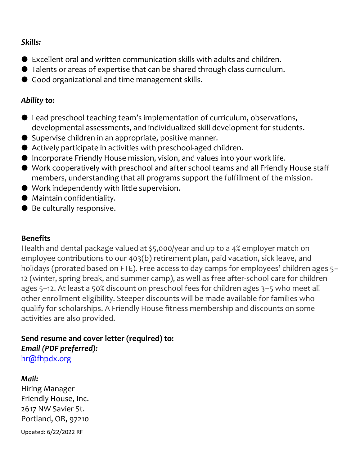### Skills:

- Excellent oral and written communication skills with adults and children.
- Talents or areas of expertise that can be shared through class curriculum.
- Good organizational and time management skills.

## Ability to:

- Lead preschool teaching team's implementation of curriculum, observations, developmental assessments, and individualized skill development for students.
- Supervise children in an appropriate, positive manner.
- Actively participate in activities with preschool-aged children.
- Incorporate Friendly House mission, vision, and values into your work life.
- Work cooperatively with preschool and after school teams and all Friendly House staff members, understanding that all programs support the fulfillment of the mission.
- Work independently with little supervision.
- Maintain confidentiality.
- Be culturally responsive.

# **Benefits**

Health and dental package valued at \$5,000/year and up to a 4% employer match on employee contributions to our 403(b) retirement plan, paid vacation, sick leave, and holidays (prorated based on FTE). Free access to day camps for employees' children ages 5– 12 (winter, spring break, and summer camp), as well as free after-school care for children ages 5–12. At least a 50% discount on preschool fees for children ages 3–5 who meet all other enrollment eligibility. Steeper discounts will be made available for families who qualify for scholarships. A Friendly House fitness membership and discounts on some activities are also provided.

# Send resume and cover letter (required) to: Email (PDF preferred):

hr@fhpdx.org

# Mail:

Hiring Manager Friendly House, Inc. 2617 NW Savier St. Portland, OR, 97210

Updated: 6/22/2022 RF